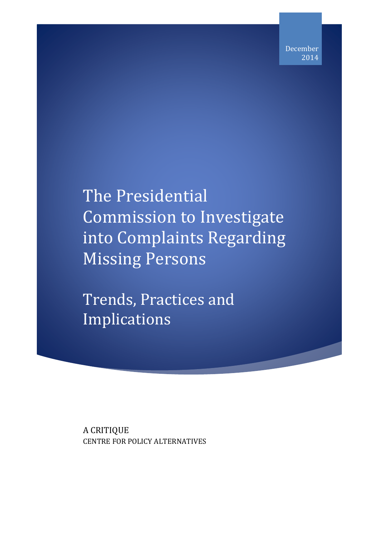## The Presidential Commission to Investigate into Complaints Regarding Missing Persons

Trends, Practices and Implications

A CRITIQUE CENTRE FOR POLICY ALTERNATIVES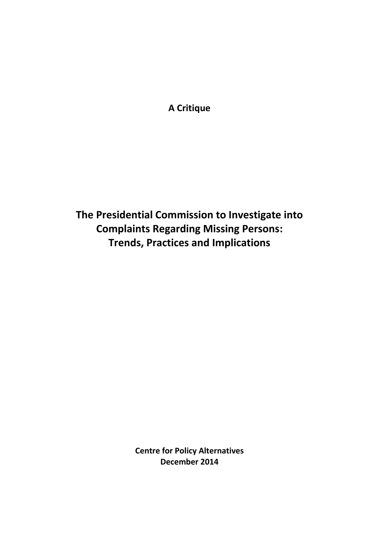**A Critique** 

**The Presidential Commission to Investigate into Complaints Regarding Missing Persons: Trends, Practices and Implications**

> **Centre for Policy Alternatives December 2014**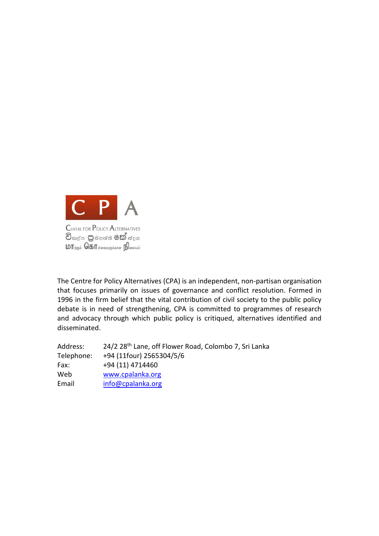

The Centre for Policy Alternatives (CPA) is an independent, non-partisan organisation that focuses primarily on issues of governance and conflict resolution. Formed in 1996 in the firm belief that the vital contribution of civil society to the public policy debate is in need of strengthening, CPA is committed to programmes of research and advocacy through which public policy is critiqued, alternatives identified and disseminated.

| Address:   | 24/2 28 <sup>th</sup> Lane, off Flower Road, Colombo 7, Sri Lanka |
|------------|-------------------------------------------------------------------|
| Telephone: | +94 (11four) 2565304/5/6                                          |
| Fax:       | +94 (11) 4714460                                                  |
| Web        | www.cpalanka.org                                                  |
| Email      | info@cpalanka.org                                                 |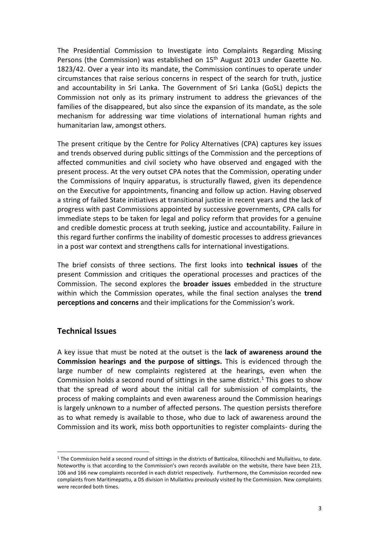The Presidential Commission to Investigate into Complaints Regarding Missing Persons (the Commission) was established on 15<sup>th</sup> August 2013 under Gazette No. 1823/42. Over a year into its mandate, the Commission continues to operate under circumstances that raise serious concerns in respect of the search for truth, justice and accountability in Sri Lanka. The Government of Sri Lanka (GoSL) depicts the Commission not only as its primary instrument to address the grievances of the families of the disappeared, but also since the expansion of its mandate, as the sole mechanism for addressing war time violations of international human rights and humanitarian law, amongst others.

The present critique by the Centre for Policy Alternatives (CPA) captures key issues and trends observed during public sittings of the Commission and the perceptions of affected communities and civil society who have observed and engaged with the present process. At the very outset CPA notes that the Commission, operating under the Commissions of Inquiry apparatus, is structurally flawed, given its dependence on the Executive for appointments, financing and follow up action. Having observed a string of failed State initiatives at transitional justice in recent years and the lack of progress with past Commissions appointed by successive governments, CPA calls for immediate steps to be taken for legal and policy reform that provides for a genuine and credible domestic process at truth seeking, justice and accountability. Failure in this regard further confirms the inability of domestic processes to address grievances in a post war context and strengthens calls for international investigations.

The brief consists of three sections. The first looks into **technical issues** of the present Commission and critiques the operational processes and practices of the Commission. The second explores the **broader issues** embedded in the structure within which the Commission operates, while the final section analyses the **trend perceptions and concerns** and their implications for the Commission's work.

## **Technical Issues**

 $\overline{a}$ 

A key issue that must be noted at the outset is the **lack of awareness around the Commission hearings and the purpose of sittings.** This is evidenced through the large number of new complaints registered at the hearings, even when the Commission holds a second round of sittings in the same district.<sup>1</sup> This goes to show that the spread of word about the initial call for submission of complaints, the process of making complaints and even awareness around the Commission hearings is largely unknown to a number of affected persons. The question persists therefore as to what remedy is available to those, who due to lack of awareness around the Commission and its work, miss both opportunities to register complaints- during the

<sup>1</sup> The Commission held a second round of sittings in the districts of Batticaloa, Kilinochchi and Mullaitivu, to date. Noteworthy is that according to the Commission's own records available on the website, there have been 213, 106 and 166 new complaints recorded in each district respectively. Furthermore, the Commission recorded new complaints from Maritimepattu, a DS division in Mullaitivu previously visited by the Commission. New complaints were recorded both times.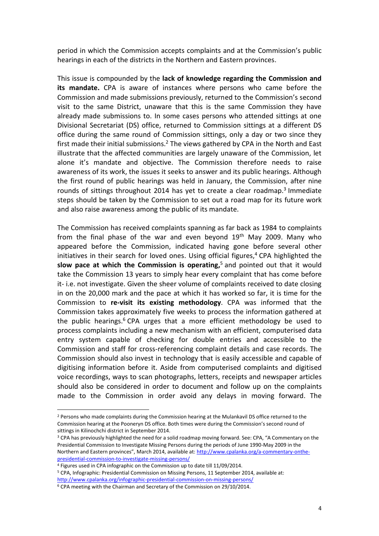period in which the Commission accepts complaints and at the Commission's public hearings in each of the districts in the Northern and Eastern provinces.

This issue is compounded by the **lack of knowledge regarding the Commission and its mandate.** CPA is aware of instances where persons who came before the Commission and made submissions previously, returned to the Commission's second visit to the same District, unaware that this is the same Commission they have already made submissions to. In some cases persons who attended sittings at one Divisional Secretariat (DS) office, returned to Commission sittings at a different DS office during the same round of Commission sittings, only a day or two since they first made their initial submissions.<sup>2</sup> The views gathered by CPA in the North and East illustrate that the affected communities are largely unaware of the Commission, let alone it's mandate and objective. The Commission therefore needs to raise awareness of its work, the issues it seeks to answer and its public hearings. Although the first round of public hearings was held in January, the Commission, after nine rounds of sittings throughout 2014 has yet to create a clear roadmap.<sup>3</sup> Immediate steps should be taken by the Commission to set out a road map for its future work and also raise awareness among the public of its mandate.

The Commission has received complaints spanning as far back as 1984 to complaints from the final phase of the war and even beyond  $19<sup>th</sup>$  May 2009. Many who appeared before the Commission, indicated having gone before several other initiatives in their search for loved ones. Using official figures,<sup>4</sup> CPA highlighted the **slow pace at which the Commission is operating,** <sup>5</sup> and pointed out that it would take the Commission 13 years to simply hear every complaint that has come before it- i.e. not investigate. Given the sheer volume of complaints received to date closing in on the 20,000 mark and the pace at which it has worked so far, it is time for the Commission to **re-visit its existing methodology**. CPA was informed that the Commission takes approximately five weeks to process the information gathered at the public hearings.<sup>6</sup> CPA urges that a more efficient methodology be used to process complaints including a new mechanism with an efficient, computerised data entry system capable of checking for double entries and accessible to the Commission and staff for cross-referencing complaint details and case records. The Commission should also invest in technology that is easily accessible and capable of digitising information before it. Aside from computerised complaints and digitised voice recordings, ways to scan photographs, letters, receipts and newspaper articles should also be considered in order to document and follow up on the complaints made to the Commission in order avoid any delays in moving forward. The

 $\overline{a}$ <sup>2</sup> Persons who made complaints during the Commission hearing at the Mulankavil DS office returned to the Commission hearing at the Pooneryn DS office. Both times were during the Commission's second round of sittings in Kilinochchi district in September 2014.

<sup>3</sup> CPA has previously highlighted the need for a solid roadmap moving forward. See: CPA, "A Commentary on the Presidential Commission to Investigate Missing Persons during the periods of June 1990-May 2009 in the Northern and Eastern provinces", March 2014, available at: [http://www.cpalanka.org/a-commentary-onthe](http://www.cpalanka.org/a-commentary-onthe-presidential-commission-to-investigate-missing-persons/)[presidential-commission-to-investigate-missing-persons/](http://www.cpalanka.org/a-commentary-onthe-presidential-commission-to-investigate-missing-persons/)

<sup>4</sup> Figures used in CPA infographic on the Commission up to date till 11/09/2014.

<sup>5</sup> CPA, Infographic: Presidential Commission on Missing Persons, 11 September 2014, available at:

<http://www.cpalanka.org/infographic-presidential-commission-on-missing-persons/>

<sup>6</sup> CPA meeting with the Chairman and Secretary of the Commission on 29/10/2014.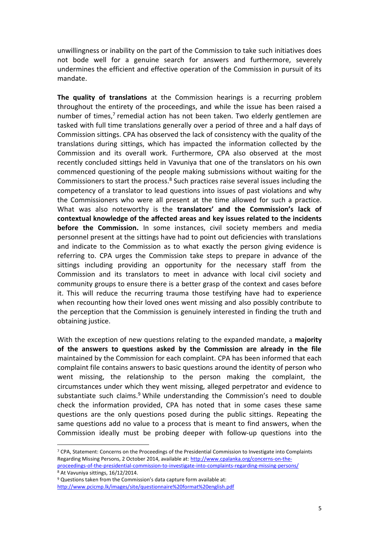unwillingness or inability on the part of the Commission to take such initiatives does not bode well for a genuine search for answers and furthermore, severely undermines the efficient and effective operation of the Commission in pursuit of its mandate.

**The quality of translations** at the Commission hearings is a recurring problem throughout the entirety of the proceedings, and while the issue has been raised a number of times,<sup>7</sup> remedial action has not been taken. Two elderly gentlemen are tasked with full time translations generally over a period of three and a half days of Commission sittings. CPA has observed the lack of consistency with the quality of the translations during sittings, which has impacted the information collected by the Commission and its overall work. Furthermore, CPA also observed at the most recently concluded sittings held in Vavuniya that one of the translators on his own commenced questioning of the people making submissions without waiting for the Commissioners to start the process.<sup>8</sup> Such practices raise several issues including the competency of a translator to lead questions into issues of past violations and why the Commissioners who were all present at the time allowed for such a practice. What was also noteworthy is the **translators' and the Commission's lack of contextual knowledge of the affected areas and key issues related to the incidents before the Commission.** In some instances, civil society members and media personnel present at the sittings have had to point out deficiencies with translations and indicate to the Commission as to what exactly the person giving evidence is referring to. CPA urges the Commission take steps to prepare in advance of the sittings including providing an opportunity for the necessary staff from the Commission and its translators to meet in advance with local civil society and community groups to ensure there is a better grasp of the context and cases before it. This will reduce the recurring trauma those testifying have had to experience when recounting how their loved ones went missing and also possibly contribute to the perception that the Commission is genuinely interested in finding the truth and obtaining justice.

With the exception of new questions relating to the expanded mandate, a **majority of the answers to questions asked by the Commission are already in the file** maintained by the Commission for each complaint. CPA has been informed that each complaint file contains answers to basic questions around the identity of person who went missing, the relationship to the person making the complaint, the circumstances under which they went missing, alleged perpetrator and evidence to substantiate such claims.<sup>9</sup> While understanding the Commission's need to double check the information provided, CPA has noted that in some cases these same questions are the only questions posed during the public sittings. Repeating the same questions add no value to a process that is meant to find answers, when the Commission ideally must be probing deeper with follow-up questions into the

<sup>7</sup> CPA, Statement: Concerns on the Proceedings of the Presidential Commission to Investigate into Complaints Regarding Missing Persons, 2 October 2014, available at: [http://www.cpalanka.org/concerns-on-the](http://www.cpalanka.org/concerns-on-the-proceedings-of-the-presidential-commission-to-investigate-into-complaints-regarding-missing-persons/)[proceedings-of-the-presidential-commission-to-investigate-into-complaints-regarding-missing-persons/](http://www.cpalanka.org/concerns-on-the-proceedings-of-the-presidential-commission-to-investigate-into-complaints-regarding-missing-persons/)  <sup>8</sup> At Vavuniya sittings, 16/12/2014.

<sup>9</sup> Questions taken from the Commission's data capture form available at: <http://www.pcicmp.lk/images/site/questionnaire%20format%20english.pdf>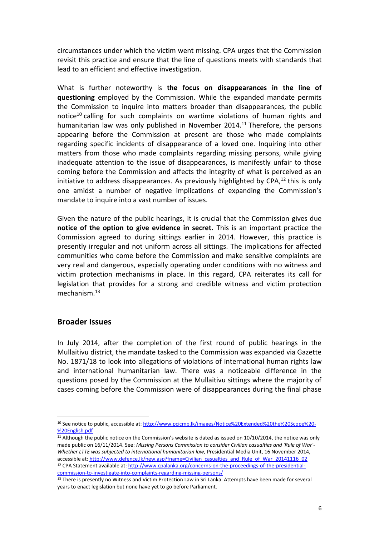circumstances under which the victim went missing. CPA urges that the Commission revisit this practice and ensure that the line of questions meets with standards that lead to an efficient and effective investigation.

What is further noteworthy is **the focus on disappearances in the line of questioning** employed by the Commission. While the expanded mandate permits the Commission to inquire into matters broader than disappearances, the public notice<sup>10</sup> calling for such complaints on wartime violations of human rights and humanitarian law was only published in November 2014. <sup>11</sup> Therefore, the persons appearing before the Commission at present are those who made complaints regarding specific incidents of disappearance of a loved one. Inquiring into other matters from those who made complaints regarding missing persons, while giving inadequate attention to the issue of disappearances, is manifestly unfair to those coming before the Commission and affects the integrity of what is perceived as an initiative to address disappearances. As previously highlighted by CPA,<sup>12</sup> this is only one amidst a number of negative implications of expanding the Commission's mandate to inquire into a vast number of issues.

Given the nature of the public hearings, it is crucial that the Commission gives due **notice of the option to give evidence in secret.** This is an important practice the Commission agreed to during sittings earlier in 2014. However, this practice is presently irregular and not uniform across all sittings. The implications for affected communities who come before the Commission and make sensitive complaints are very real and dangerous, especially operating under conditions with no witness and victim protection mechanisms in place. In this regard, CPA reiterates its call for legislation that provides for a strong and credible witness and victim protection mechanism.<sup>13</sup>

## **Broader Issues**

 $\overline{a}$ 

In July 2014, after the completion of the first round of public hearings in the Mullaitivu district, the mandate tasked to the Commission was expanded via Gazette No. 1871/18 to look into allegations of violations of international human rights law and international humanitarian law. There was a noticeable difference in the questions posed by the Commission at the Mullaitivu sittings where the majority of cases coming before the Commission were of disappearances during the final phase

<sup>10</sup> See notice to public, accessible at: [http://www.pcicmp.lk/images/Notice%20Extended%20the%20Scope%20-](http://www.pcicmp.lk/images/Notice%20Extended%20the%20Scope%20-%20English.pdf) [%20English.pdf](http://www.pcicmp.lk/images/Notice%20Extended%20the%20Scope%20-%20English.pdf)

<sup>&</sup>lt;sup>11</sup> Although the public notice on the Commission's website is dated as issued on 10/10/2014, the notice was only made public on 16/11/2014. See: *Missing Persons Commission to consider Civilian casualties and 'Rule of War'- Whether LTTE was subjected to international humanitarian law,* Presidential Media Unit, 16 November 2014, accessible at[: http://www.defence.lk/new.asp?fname=Civilian\\_casualties\\_and\\_Rule\\_of\\_War\\_20141116\\_02](http://www.defence.lk/new.asp?fname=Civilian_casualties_and_Rule_of_War_20141116_02) 12 CPA Statement available at[: http://www.cpalanka.org/concerns-on-the-proceedings-of-the-presidential](http://www.cpalanka.org/concerns-on-the-proceedings-of-the-presidential-commission-to-investigate-into-complaints-regarding-missing-persons/)[commission-to-investigate-into-complaints-regarding-missing-persons/](http://www.cpalanka.org/concerns-on-the-proceedings-of-the-presidential-commission-to-investigate-into-complaints-regarding-missing-persons/) 

<sup>13</sup> There is presently no Witness and Victim Protection Law in Sri Lanka. Attempts have been made for several years to enact legislation but none have yet to go before Parliament.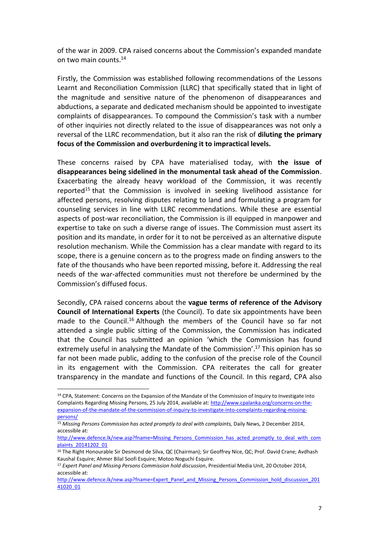of the war in 2009. CPA raised concerns about the Commission's expanded mandate on two main counts.<sup>14</sup>

Firstly, the Commission was established following recommendations of the Lessons Learnt and Reconciliation Commission (LLRC) that specifically stated that in light of the magnitude and sensitive nature of the phenomenon of disappearances and abductions, a separate and dedicated mechanism should be appointed to investigate complaints of disappearances. To compound the Commission's task with a number of other inquiries not directly related to the issue of disappearances was not only a reversal of the LLRC recommendation, but it also ran the risk of **diluting the primary focus of the Commission and overburdening it to impractical levels.**

These concerns raised by CPA have materialised today, with **the issue of disappearances being sidelined in the monumental task ahead of the Commission**. Exacerbating the already heavy workload of the Commission, it was recently reported<sup>15</sup> that the Commission is involved in seeking livelihood assistance for affected persons, resolving disputes relating to land and formulating a program for counseling services in line with LLRC recommendations. While these are essential aspects of post-war reconciliation, the Commission is ill equipped in manpower and expertise to take on such a diverse range of issues. The Commission must assert its position and its mandate, in order for it to not be perceived as an alternative dispute resolution mechanism. While the Commission has a clear mandate with regard to its scope, there is a genuine concern as to the progress made on finding answers to the fate of the thousands who have been reported missing, before it. Addressing the real needs of the war-affected communities must not therefore be undermined by the Commission's diffused focus.

Secondly, CPA raised concerns about the **vague terms of reference of the Advisory Council of International Experts** (the Council). To date six appointments have been made to the Council.<sup>16</sup> Although the members of the Council have so far not attended a single public sitting of the Commission, the Commission has indicated that the Council has submitted an opinion 'which the Commission has found extremely useful in analysing the Mandate of the Commission'. <sup>17</sup> This opinion has so far not been made public, adding to the confusion of the precise role of the Council in its engagement with the Commission. CPA reiterates the call for greater transparency in the mandate and functions of the Council. In this regard, CPA also

<sup>14</sup> CPA, Statement: Concerns on the Expansion of the Mandate of the Commission of Inquiry to Investigate into Complaints Regarding Missing Persons, 25 July 2014, available at[: http://www.cpalanka.org/concerns-on-the](http://www.cpalanka.org/concerns-on-the-expansion-of-the-mandate-of-the-commission-of-inquiry-to-investigate-into-complaints-regarding-missing-persons/)[expansion-of-the-mandate-of-the-commission-of-inquiry-to-investigate-into-complaints-regarding-missing](http://www.cpalanka.org/concerns-on-the-expansion-of-the-mandate-of-the-commission-of-inquiry-to-investigate-into-complaints-regarding-missing-persons/)[persons/](http://www.cpalanka.org/concerns-on-the-expansion-of-the-mandate-of-the-commission-of-inquiry-to-investigate-into-complaints-regarding-missing-persons/)

<sup>15</sup> *Missing Persons Commission has acted promptly to deal with complaints,* Daily News, 2 December 2014, accessible at:

[http://www.defence.lk/new.asp?fname=Missing\\_Persons\\_Commission\\_has\\_acted\\_promptly\\_to\\_deal\\_with\\_com](http://www.defence.lk/new.asp?fname=Missing_Persons_Commission_has_acted_promptly_to_deal_with_complaints_20141202_01) [plaints\\_20141202\\_01](http://www.defence.lk/new.asp?fname=Missing_Persons_Commission_has_acted_promptly_to_deal_with_complaints_20141202_01)

<sup>&</sup>lt;sup>16</sup> The Right Honourable Sir Desmond de Silva, QC (Chairman); Sir Geoffrey Nice, QC; Prof. David Crane; Avdhash Kaushal Esquire; Ahmer Bilal Soofi Esquire; Motoo Noguchi Esquire.

<sup>17</sup> *Expert Panel and Missing Persons Commission hold discussion*, Presidential Media Unit, 20 October 2014, accessible at:

[http://www.defence.lk/new.asp?fname=Expert\\_Panel\\_and\\_Missing\\_Persons\\_Commission\\_hold\\_discussion\\_201](http://www.defence.lk/new.asp?fname=Expert_Panel_and_Missing_Persons_Commission_hold_discussion_20141020_01) [41020\\_01](http://www.defence.lk/new.asp?fname=Expert_Panel_and_Missing_Persons_Commission_hold_discussion_20141020_01)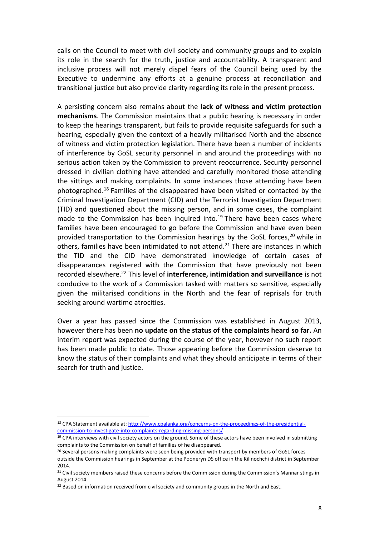calls on the Council to meet with civil society and community groups and to explain its role in the search for the truth, justice and accountability. A transparent and inclusive process will not merely dispel fears of the Council being used by the Executive to undermine any efforts at a genuine process at reconciliation and transitional justice but also provide clarity regarding its role in the present process.

A persisting concern also remains about the **lack of witness and victim protection mechanisms**. The Commission maintains that a public hearing is necessary in order to keep the hearings transparent, but fails to provide requisite safeguards for such a hearing, especially given the context of a heavily militarised North and the absence of witness and victim protection legislation. There have been a number of incidents of interference by GoSL security personnel in and around the proceedings with no serious action taken by the Commission to prevent reoccurrence. Security personnel dressed in civilian clothing have attended and carefully monitored those attending the sittings and making complaints. In some instances those attending have been photographed. <sup>18</sup> Families of the disappeared have been visited or contacted by the Criminal Investigation Department (CID) and the Terrorist Investigation Department (TID) and questioned about the missing person, and in some cases, the complaint made to the Commission has been inquired into. <sup>19</sup> There have been cases where families have been encouraged to go before the Commission and have even been provided transportation to the Commission hearings by the GoSL forces, <sup>20</sup> while in others, families have been intimidated to not attend.<sup>21</sup> There are instances in which the TID and the CID have demonstrated knowledge of certain cases of disappearances registered with the Commission that have previously not been recorded elsewhere.<sup>22</sup> This level of **interference, intimidation and surveillance** is not conducive to the work of a Commission tasked with matters so sensitive, especially given the militarised conditions in the North and the fear of reprisals for truth seeking around wartime atrocities.

Over a year has passed since the Commission was established in August 2013, however there has been **no update on the status of the complaints heard so far.** An interim report was expected during the course of the year, however no such report has been made public to date. Those appearing before the Commission deserve to know the status of their complaints and what they should anticipate in terms of their search for truth and justice.

<sup>18</sup> CPA Statement available at[: http://www.cpalanka.org/concerns-on-the-proceedings-of-the-presidential](http://www.cpalanka.org/concerns-on-the-proceedings-of-the-presidential-commission-to-investigate-into-complaints-regarding-missing-persons/)[commission-to-investigate-into-complaints-regarding-missing-persons/](http://www.cpalanka.org/concerns-on-the-proceedings-of-the-presidential-commission-to-investigate-into-complaints-regarding-missing-persons/)

<sup>&</sup>lt;sup>19</sup> CPA interviews with civil society actors on the ground. Some of these actors have been involved in submitting complaints to the Commission on behalf of families of he disappeared.

<sup>&</sup>lt;sup>20</sup> Several persons making complaints were seen being provided with transport by members of GoSL forces outside the Commission hearings in September at the Pooneryn DS office in the Kilinochchi district in September 2014.

<sup>&</sup>lt;sup>21</sup> Civil society members raised these concerns before the Commission during the Commission's Mannar stings in August 2014.

<sup>&</sup>lt;sup>22</sup> Based on information received from civil society and community groups in the North and East.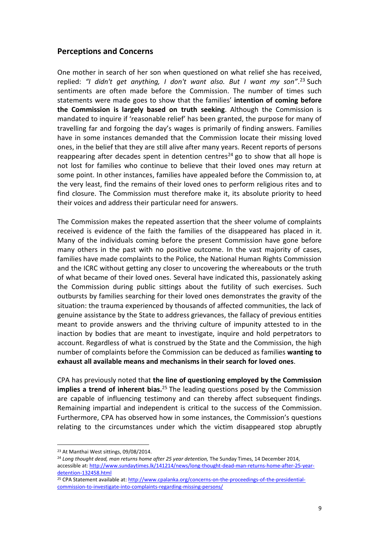## **Perceptions and Concerns**

One mother in search of her son when questioned on what relief she has received, replied: *"I didn't get anything, I don't want also. But I want my son"*. <sup>23</sup> Such sentiments are often made before the Commission. The number of times such statements were made goes to show that the families' **intention of coming before the Commission is largely based on truth seeking**. Although the Commission is mandated to inquire if 'reasonable relief' has been granted, the purpose for many of travelling far and forgoing the day's wages is primarily of finding answers. Families have in some instances demanded that the Commission locate their missing loved ones, in the belief that they are still alive after many years. Recent reports of persons reappearing after decades spent in detention centres<sup>24</sup> go to show that all hope is not lost for families who continue to believe that their loved ones may return at some point. In other instances, families have appealed before the Commission to, at the very least, find the remains of their loved ones to perform religious rites and to find closure. The Commission must therefore make it, its absolute priority to heed their voices and address their particular need for answers.

The Commission makes the repeated assertion that the sheer volume of complaints received is evidence of the faith the families of the disappeared has placed in it. Many of the individuals coming before the present Commission have gone before many others in the past with no positive outcome. In the vast majority of cases, families have made complaints to the Police, the National Human Rights Commission and the ICRC without getting any closer to uncovering the whereabouts or the truth of what became of their loved ones. Several have indicated this, passionately asking the Commission during public sittings about the futility of such exercises. Such outbursts by families searching for their loved ones demonstrates the gravity of the situation: the trauma experienced by thousands of affected communities, the lack of genuine assistance by the State to address grievances, the fallacy of previous entities meant to provide answers and the thriving culture of impunity attested to in the inaction by bodies that are meant to investigate, inquire and hold perpetrators to account. Regardless of what is construed by the State and the Commission, the high number of complaints before the Commission can be deduced as families **wanting to exhaust all available means and mechanisms in their search for loved ones**.

CPA has previously noted that **the line of questioning employed by the Commission implies a trend of inherent bias.**<sup>25</sup> The leading questions posed by the Commission are capable of influencing testimony and can thereby affect subsequent findings. Remaining impartial and independent is critical to the success of the Commission. Furthermore, CPA has observed how in some instances, the Commission's questions relating to the circumstances under which the victim disappeared stop abruptly

 $\overline{a}$ <sup>23</sup> At Manthai West sittings, 09/08/2014.

<sup>&</sup>lt;sup>24</sup> Long thought dead, man returns home after 25 year detention, The Sunday Times, 14 December 2014, accessible at: [http://www.sundaytimes.lk/141214/news/long-thought-dead-man-returns-home-after-25-year](http://www.sundaytimes.lk/141214/news/long-thought-dead-man-returns-home-after-25-year-detention-132458.html)[detention-132458.html](http://www.sundaytimes.lk/141214/news/long-thought-dead-man-returns-home-after-25-year-detention-132458.html)

<sup>&</sup>lt;sup>25</sup> CPA Statement available at[: http://www.cpalanka.org/concerns-on-the-proceedings-of-the-presidential](http://www.cpalanka.org/concerns-on-the-proceedings-of-the-presidential-commission-to-investigate-into-complaints-regarding-missing-persons/)[commission-to-investigate-into-complaints-regarding-missing-persons/](http://www.cpalanka.org/concerns-on-the-proceedings-of-the-presidential-commission-to-investigate-into-complaints-regarding-missing-persons/)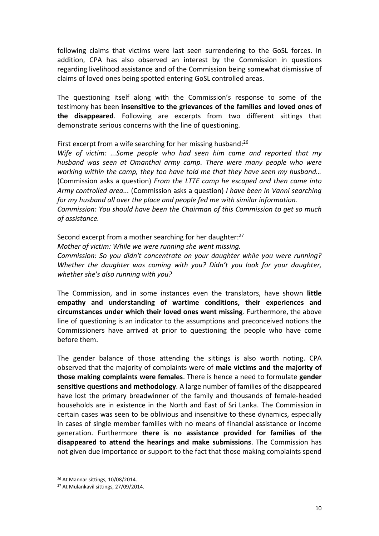following claims that victims were last seen surrendering to the GoSL forces. In addition, CPA has also observed an interest by the Commission in questions regarding livelihood assistance and of the Commission being somewhat dismissive of claims of loved ones being spotted entering GoSL controlled areas.

The questioning itself along with the Commission's response to some of the testimony has been **insensitive to the grievances of the families and loved ones of the disappeared**. Following are excerpts from two different sittings that demonstrate serious concerns with the line of questioning.

First excerpt from a wife searching for her missing husband:<sup>26</sup>

*Wife of victim: ...Some people who had seen him came and reported that my husband was seen at Omanthai army camp. There were many people who were working within the camp, they too have told me that they have seen my husband…* (Commission asks a question) *From the LTTE camp he escaped and then came into Army controlled area...* (Commission asks a question) *I have been in Vanni searching for my husband all over the place and people fed me with similar information. Commission: You should have been the Chairman of this Commission to get so much of assistance.*

Second excerpt from a mother searching for her daughter: 27 *Mother of victim: While we were running she went missing. Commission: So you didn't concentrate on your daughter while you were running? Whether the daughter was coming with you? Didn't you look for your daughter, whether she's also running with you?*

The Commission, and in some instances even the translators, have shown **little empathy and understanding of wartime conditions, their experiences and circumstances under which their loved ones went missing**. Furthermore, the above line of questioning is an indicator to the assumptions and preconceived notions the Commissioners have arrived at prior to questioning the people who have come before them.

The gender balance of those attending the sittings is also worth noting. CPA observed that the majority of complaints were of **male victims and the majority of those making complaints were females**. There is hence a need to formulate **gender sensitive questions and methodology**. A large number of families of the disappeared have lost the primary breadwinner of the family and thousands of female-headed households are in existence in the North and East of Sri Lanka. The Commission in certain cases was seen to be oblivious and insensitive to these dynamics, especially in cases of single member families with no means of financial assistance or income generation. Furthermore **there is no assistance provided for families of the disappeared to attend the hearings and make submissions**. The Commission has not given due importance or support to the fact that those making complaints spend

<sup>26</sup> At Mannar sittings, 10/08/2014.

<sup>27</sup> At Mulankavil sittings, 27/09/2014.